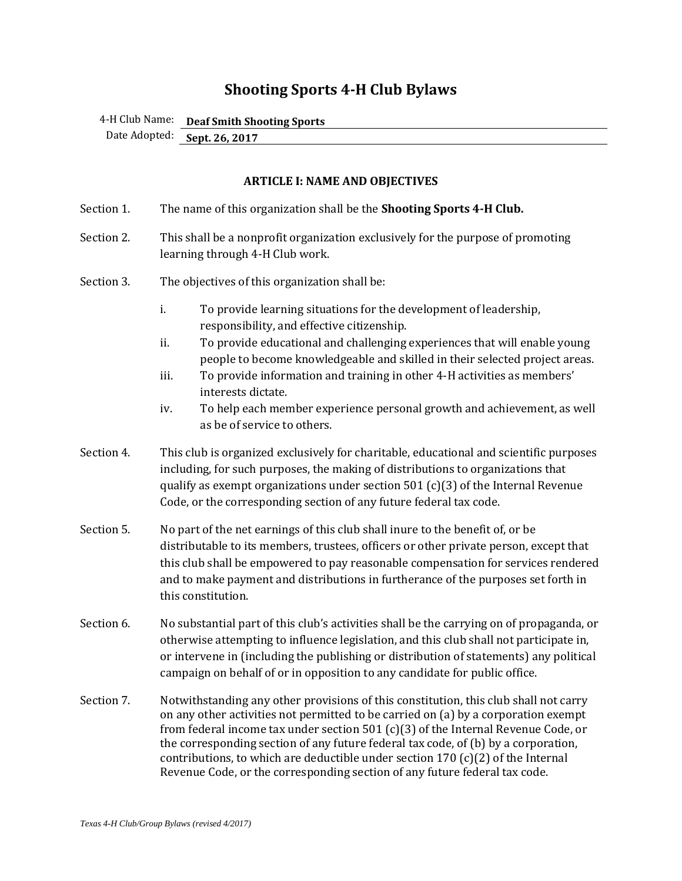# **Shooting Sports 4-H Club Bylaws**

4-H Club Name: **Deaf Smith Shooting Sports** 

Date Adopted: **Sept. 26, 2017**

# **ARTICLE I: NAME AND OBJECTIVES**

| Section 1. | The name of this organization shall be the Shooting Sports 4-H Club.                                                                                                                                                                                                                                                                                                                                                                                                                                                       |
|------------|----------------------------------------------------------------------------------------------------------------------------------------------------------------------------------------------------------------------------------------------------------------------------------------------------------------------------------------------------------------------------------------------------------------------------------------------------------------------------------------------------------------------------|
| Section 2. | This shall be a nonprofit organization exclusively for the purpose of promoting<br>learning through 4-H Club work.                                                                                                                                                                                                                                                                                                                                                                                                         |
| Section 3. | The objectives of this organization shall be:                                                                                                                                                                                                                                                                                                                                                                                                                                                                              |
|            | i.<br>To provide learning situations for the development of leadership,<br>responsibility, and effective citizenship.<br>ii.<br>To provide educational and challenging experiences that will enable young<br>people to become knowledgeable and skilled in their selected project areas.<br>iii.<br>To provide information and training in other 4-H activities as members'<br>interests dictate.<br>iv.<br>To help each member experience personal growth and achievement, as well<br>as be of service to others.         |
| Section 4. | This club is organized exclusively for charitable, educational and scientific purposes<br>including, for such purposes, the making of distributions to organizations that<br>qualify as exempt organizations under section $501$ (c)(3) of the Internal Revenue<br>Code, or the corresponding section of any future federal tax code.                                                                                                                                                                                      |
| Section 5. | No part of the net earnings of this club shall inure to the benefit of, or be<br>distributable to its members, trustees, officers or other private person, except that<br>this club shall be empowered to pay reasonable compensation for services rendered<br>and to make payment and distributions in furtherance of the purposes set forth in<br>this constitution.                                                                                                                                                     |
| Section 6. | No substantial part of this club's activities shall be the carrying on of propaganda, or<br>otherwise attempting to influence legislation, and this club shall not participate in,<br>or intervene in (including the publishing or distribution of statements) any political<br>campaign on behalf of or in opposition to any candidate for public office.                                                                                                                                                                 |
| Section 7. | Notwithstanding any other provisions of this constitution, this club shall not carry<br>on any other activities not permitted to be carried on (a) by a corporation exempt<br>from federal income tax under section 501 $(c)(3)$ of the Internal Revenue Code, or<br>the corresponding section of any future federal tax code, of (b) by a corporation,<br>contributions, to which are deductible under section 170 $(c)(2)$ of the Internal<br>Revenue Code, or the corresponding section of any future federal tax code. |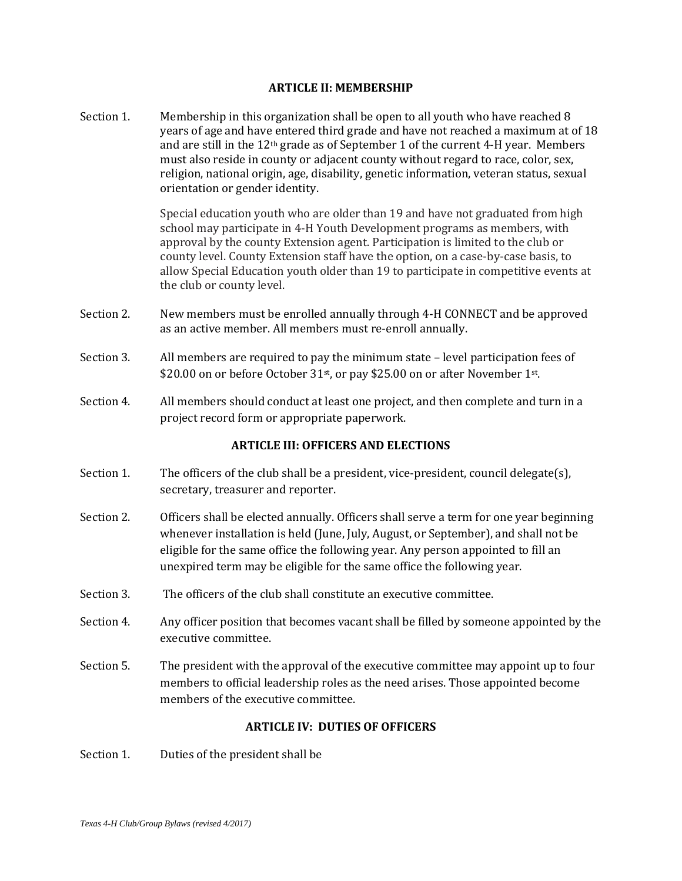#### **ARTICLE II: MEMBERSHIP**

Section 1. Membership in this organization shall be open to all youth who have reached 8 years of age and have entered third grade and have not reached a maximum at of 18 and are still in the  $12<sup>th</sup>$  grade as of September 1 of the current 4-H year. Members must also reside in county or adjacent county without regard to race, color, sex, religion, national origin, age, disability, genetic information, veteran status, sexual orientation or gender identity.

> Special education youth who are older than 19 and have not graduated from high school may participate in 4-H Youth Development programs as members, with approval by the county Extension agent. Participation is limited to the club or county level. County Extension staff have the option, on a case-by-case basis, to allow Special Education youth older than 19 to participate in competitive events at the club or county level.

- Section 2. New members must be enrolled annually through 4-H CONNECT and be approved as an active member. All members must re-enroll annually.
- Section 3. All members are required to pay the minimum state level participation fees of \$20.00 on or before October 31<sup>st</sup>, or pay \$25.00 on or after November 1st.
- Section 4. All members should conduct at least one project, and then complete and turn in a project record form or appropriate paperwork.

## **ARTICLE III: OFFICERS AND ELECTIONS**

- Section 1. The officers of the club shall be a president, vice-president, council delegate(s), secretary, treasurer and reporter.
- Section 2. Officers shall be elected annually. Officers shall serve a term for one year beginning whenever installation is held (June, July, August, or September), and shall not be eligible for the same office the following year. Any person appointed to fill an unexpired term may be eligible for the same office the following year.
- Section 3. The officers of the club shall constitute an executive committee.
- Section 4. Any officer position that becomes vacant shall be filled by someone appointed by the executive committee.
- Section 5. The president with the approval of the executive committee may appoint up to four members to official leadership roles as the need arises. Those appointed become members of the executive committee.

## **ARTICLE IV: DUTIES OF OFFICERS**

Section 1. Duties of the president shall be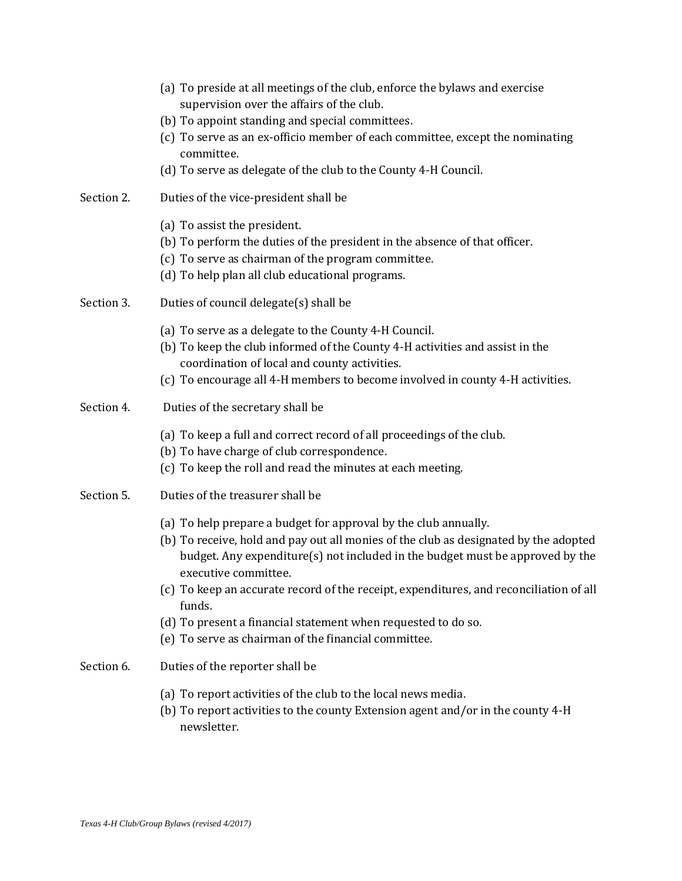|            | (a) To preside at all meetings of the club, enforce the bylaws and exercise<br>supervision over the affairs of the club.<br>(b) To appoint standing and special committees.<br>(c) To serve as an ex-officio member of each committee, except the nominating<br>committee.<br>(d) To serve as delegate of the club to the County 4-H Council.                                                                                         |
|------------|---------------------------------------------------------------------------------------------------------------------------------------------------------------------------------------------------------------------------------------------------------------------------------------------------------------------------------------------------------------------------------------------------------------------------------------|
| Section 2. | Duties of the vice-president shall be                                                                                                                                                                                                                                                                                                                                                                                                 |
|            | (a) To assist the president.<br>(b) To perform the duties of the president in the absence of that officer.<br>(c) To serve as chairman of the program committee.<br>(d) To help plan all club educational programs.                                                                                                                                                                                                                   |
| Section 3. | Duties of council delegate(s) shall be                                                                                                                                                                                                                                                                                                                                                                                                |
|            | (a) To serve as a delegate to the County 4-H Council.<br>(b) To keep the club informed of the County 4-H activities and assist in the<br>coordination of local and county activities.<br>(c) To encourage all 4-H members to become involved in county 4-H activities.                                                                                                                                                                |
| Section 4. | Duties of the secretary shall be                                                                                                                                                                                                                                                                                                                                                                                                      |
|            | (a) To keep a full and correct record of all proceedings of the club.<br>(b) To have charge of club correspondence.<br>(c) To keep the roll and read the minutes at each meeting.                                                                                                                                                                                                                                                     |
| Section 5. | Duties of the treasurer shall be                                                                                                                                                                                                                                                                                                                                                                                                      |
|            | (a) To help prepare a budget for approval by the club annually.<br>(b) To receive, hold and pay out all monies of the club as designated by the adopted<br>budget. Any expenditure(s) not included in the budget must be approved by the<br>executive committee.<br>(c) To keep an accurate record of the receipt, expenditures, and reconciliation of all<br>funds.<br>(d) To present a financial statement when requested to do so. |
|            | (e) To serve as chairman of the financial committee.                                                                                                                                                                                                                                                                                                                                                                                  |
| Section 6. | Duties of the reporter shall be                                                                                                                                                                                                                                                                                                                                                                                                       |
|            | (a) To report activities of the club to the local news media.<br>(b) To report activities to the county Extension agent and/or in the county 4-H<br>newsletter.                                                                                                                                                                                                                                                                       |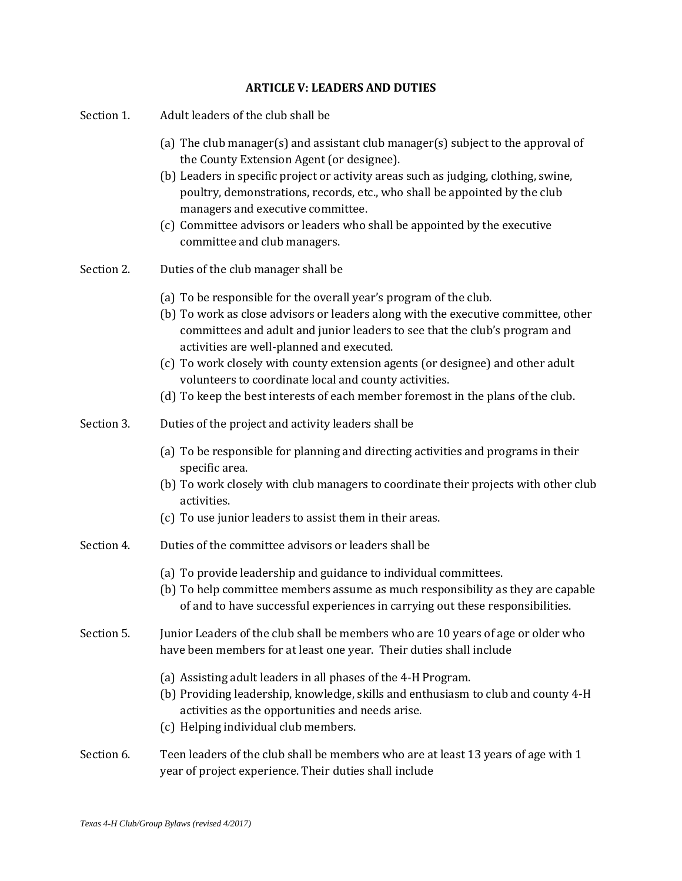## **ARTICLE V: LEADERS AND DUTIES**

| Section 1. | Adult leaders of the club shall be                                                                                                                                                                                                                                                                                                                                                                                                                                                                                |
|------------|-------------------------------------------------------------------------------------------------------------------------------------------------------------------------------------------------------------------------------------------------------------------------------------------------------------------------------------------------------------------------------------------------------------------------------------------------------------------------------------------------------------------|
|            | (a) The club manager(s) and assistant club manager(s) subject to the approval of<br>the County Extension Agent (or designee).<br>(b) Leaders in specific project or activity areas such as judging, clothing, swine,<br>poultry, demonstrations, records, etc., who shall be appointed by the club<br>managers and executive committee.<br>(c) Committee advisors or leaders who shall be appointed by the executive<br>committee and club managers.                                                              |
| Section 2. | Duties of the club manager shall be                                                                                                                                                                                                                                                                                                                                                                                                                                                                               |
|            | (a) To be responsible for the overall year's program of the club.<br>(b) To work as close advisors or leaders along with the executive committee, other<br>committees and adult and junior leaders to see that the club's program and<br>activities are well-planned and executed.<br>(c) To work closely with county extension agents (or designee) and other adult<br>volunteers to coordinate local and county activities.<br>(d) To keep the best interests of each member foremost in the plans of the club. |
| Section 3. | Duties of the project and activity leaders shall be                                                                                                                                                                                                                                                                                                                                                                                                                                                               |
|            | (a) To be responsible for planning and directing activities and programs in their<br>specific area.<br>(b) To work closely with club managers to coordinate their projects with other club<br>activities.<br>(c) To use junior leaders to assist them in their areas.                                                                                                                                                                                                                                             |
| Section 4. | Duties of the committee advisors or leaders shall be                                                                                                                                                                                                                                                                                                                                                                                                                                                              |
|            | (a) To provide leadership and guidance to individual committees.<br>(b) To help committee members assume as much responsibility as they are capable<br>of and to have successful experiences in carrying out these responsibilities.                                                                                                                                                                                                                                                                              |
| Section 5. | Junior Leaders of the club shall be members who are 10 years of age or older who<br>have been members for at least one year. Their duties shall include                                                                                                                                                                                                                                                                                                                                                           |
|            | (a) Assisting adult leaders in all phases of the 4-H Program.<br>(b) Providing leadership, knowledge, skills and enthusiasm to club and county 4-H<br>activities as the opportunities and needs arise.<br>(c) Helping individual club members.                                                                                                                                                                                                                                                                    |
| Section 6. | Teen leaders of the club shall be members who are at least 13 years of age with 1<br>year of project experience. Their duties shall include                                                                                                                                                                                                                                                                                                                                                                       |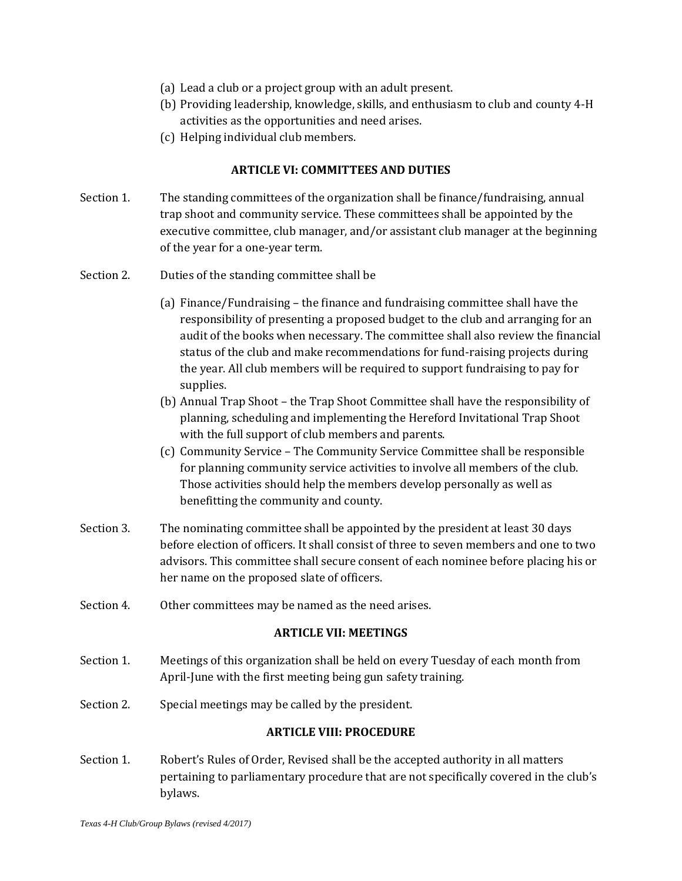- (a) Lead a club or a project group with an adult present.
- (b) Providing leadership, knowledge, skills, and enthusiasm to club and county 4-H activities as the opportunities and need arises.
- (c) Helping individual club members.

## **ARTICLE VI: COMMITTEES AND DUTIES**

- Section 1. The standing committees of the organization shall be finance/fundraising, annual trap shoot and community service. These committees shall be appointed by the executive committee, club manager, and/or assistant club manager at the beginning of the year for a one-year term.
- Section 2. Duties of the standing committee shall be
	- (a) Finance/Fundraising the finance and fundraising committee shall have the responsibility of presenting a proposed budget to the club and arranging for an audit of the books when necessary. The committee shall also review the financial status of the club and make recommendations for fund-raising projects during the year. All club members will be required to support fundraising to pay for supplies.
	- (b) Annual Trap Shoot the Trap Shoot Committee shall have the responsibility of planning, scheduling and implementing the Hereford Invitational Trap Shoot with the full support of club members and parents.
	- (c) Community Service The Community Service Committee shall be responsible for planning community service activities to involve all members of the club. Those activities should help the members develop personally as well as benefitting the community and county.
- Section 3. The nominating committee shall be appointed by the president at least 30 days before election of officers. It shall consist of three to seven members and one to two advisors. This committee shall secure consent of each nominee before placing his or her name on the proposed slate of officers.
- Section 4. Other committees may be named as the need arises.

## **ARTICLE VII: MEETINGS**

- Section 1. Meetings of this organization shall be held on every Tuesday of each month from April-June with the first meeting being gun safety training.
- Section 2. Special meetings may be called by the president.

## **ARTICLE VIII: PROCEDURE**

Section 1. Robert's Rules of Order, Revised shall be the accepted authority in all matters pertaining to parliamentary procedure that are not specifically covered in the club's bylaws.